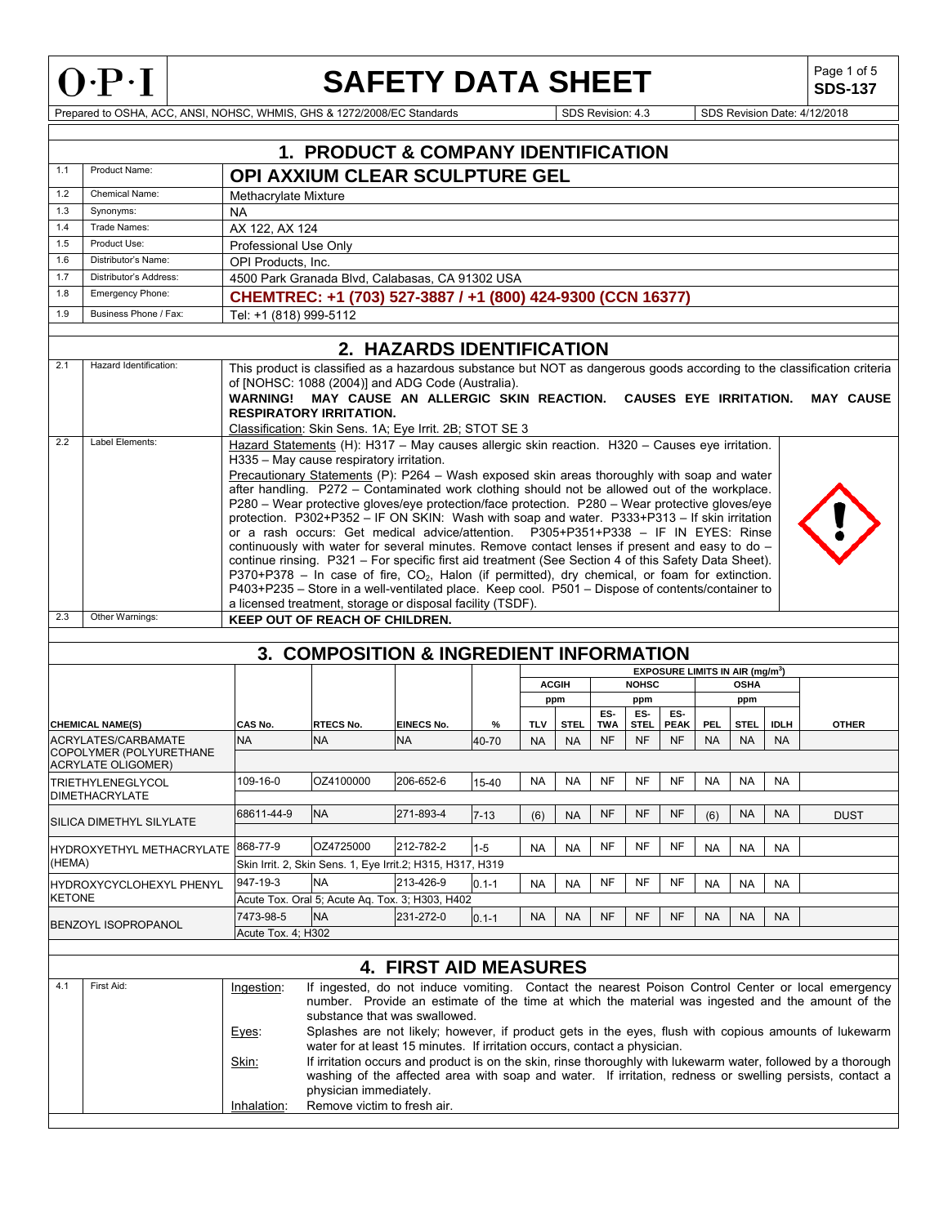

## **SAFETY DATA SHEET**

**SDS-137**

Prepared to OSHA, ACC, ANSI, NOHSC, WHMIS, GHS & 1272/2008/EC Standards Superintendent Superintendent Superintendent Superintendent Superintendent Superintendent Superintendent Superintendent Superintendent Superintendent

|                              | <b>1. PRODUCT &amp; COMPANY IDENTIFICATION</b>        |                                             |                                                                                                                                                                                                                    |                                |            |            |              |           |                          |                                             |                         |                          |                          |                                                                                                                         |
|------------------------------|-------------------------------------------------------|---------------------------------------------|--------------------------------------------------------------------------------------------------------------------------------------------------------------------------------------------------------------------|--------------------------------|------------|------------|--------------|-----------|--------------------------|---------------------------------------------|-------------------------|--------------------------|--------------------------|-------------------------------------------------------------------------------------------------------------------------|
| 1.1                          | Product Name:                                         |                                             | <b>OPI AXXIUM CLEAR SCULPTURE GEL</b>                                                                                                                                                                              |                                |            |            |              |           |                          |                                             |                         |                          |                          |                                                                                                                         |
| 1.2                          | <b>Chemical Name:</b>                                 | Methacrylate Mixture                        |                                                                                                                                                                                                                    |                                |            |            |              |           |                          |                                             |                         |                          |                          |                                                                                                                         |
| 1.3                          | Synonyms:                                             | <b>NA</b>                                   |                                                                                                                                                                                                                    |                                |            |            |              |           |                          |                                             |                         |                          |                          |                                                                                                                         |
| 1.4<br>1.5                   | Trade Names:<br>Product Use:                          | AX 122, AX 124                              |                                                                                                                                                                                                                    |                                |            |            |              |           |                          |                                             |                         |                          |                          |                                                                                                                         |
| 1.6                          | Distributor's Name:                                   | Professional Use Only<br>OPI Products. Inc. |                                                                                                                                                                                                                    |                                |            |            |              |           |                          |                                             |                         |                          |                          |                                                                                                                         |
| 1.7                          | Distributor's Address:                                |                                             | 4500 Park Granada Blvd, Calabasas, CA 91302 USA                                                                                                                                                                    |                                |            |            |              |           |                          |                                             |                         |                          |                          |                                                                                                                         |
| 1.8                          | Emergency Phone:                                      |                                             | CHEMTREC: +1 (703) 527-3887 / +1 (800) 424-9300 (CCN 16377)                                                                                                                                                        |                                |            |            |              |           |                          |                                             |                         |                          |                          |                                                                                                                         |
| 1.9                          | Business Phone / Fax:                                 | Tel: +1 (818) 999-5112                      |                                                                                                                                                                                                                    |                                |            |            |              |           |                          |                                             |                         |                          |                          |                                                                                                                         |
|                              |                                                       |                                             |                                                                                                                                                                                                                    |                                |            |            |              |           |                          |                                             |                         |                          |                          |                                                                                                                         |
|                              |                                                       |                                             |                                                                                                                                                                                                                    | 2. HAZARDS IDENTIFICATION      |            |            |              |           |                          |                                             |                         |                          |                          |                                                                                                                         |
| 2.1                          | Hazard Identification:                                |                                             |                                                                                                                                                                                                                    |                                |            |            |              |           |                          |                                             |                         |                          |                          | This product is classified as a hazardous substance but NOT as dangerous goods according to the classification criteria |
|                              |                                                       |                                             | of [NOHSC: 1088 (2004)] and ADG Code (Australia).                                                                                                                                                                  |                                |            |            |              |           |                          |                                             |                         |                          |                          |                                                                                                                         |
|                              |                                                       |                                             | WARNING! MAY CAUSE AN ALLERGIC SKIN REACTION. CAUSES EYE IRRITATION.<br><b>RESPIRATORY IRRITATION.</b>                                                                                                             |                                |            |            |              |           |                          |                                             |                         |                          |                          | <b>MAY CAUSE</b>                                                                                                        |
|                              |                                                       |                                             | Classification: Skin Sens. 1A; Eye Irrit. 2B; STOT SE 3                                                                                                                                                            |                                |            |            |              |           |                          |                                             |                         |                          |                          |                                                                                                                         |
| 2.2                          | Label Elements:                                       |                                             | Hazard Statements (H): H317 - May causes allergic skin reaction. H320 - Causes eye irritation.                                                                                                                     |                                |            |            |              |           |                          |                                             |                         |                          |                          |                                                                                                                         |
|                              |                                                       |                                             | H335 - May cause respiratory irritation.                                                                                                                                                                           |                                |            |            |              |           |                          |                                             |                         |                          |                          |                                                                                                                         |
|                              |                                                       |                                             | Precautionary Statements (P): P264 - Wash exposed skin areas thoroughly with soap and water                                                                                                                        |                                |            |            |              |           |                          |                                             |                         |                          |                          |                                                                                                                         |
|                              |                                                       |                                             | after handling. P272 - Contaminated work clothing should not be allowed out of the workplace.<br>P280 - Wear protective gloves/eye protection/face protection. P280 - Wear protective gloves/eye                   |                                |            |            |              |           |                          |                                             |                         |                          |                          |                                                                                                                         |
|                              |                                                       |                                             | protection. P302+P352 - IF ON SKIN: Wash with soap and water. P333+P313 - If skin irritation                                                                                                                       |                                |            |            |              |           |                          |                                             |                         |                          |                          |                                                                                                                         |
|                              |                                                       |                                             | or a rash occurs: Get medical advice/attention. P305+P351+P338 - IF IN EYES: Rinse                                                                                                                                 |                                |            |            |              |           |                          |                                             |                         |                          |                          |                                                                                                                         |
|                              |                                                       |                                             | continuously with water for several minutes. Remove contact lenses if present and easy to do -                                                                                                                     |                                |            |            |              |           |                          |                                             |                         |                          |                          |                                                                                                                         |
|                              |                                                       |                                             | continue rinsing. P321 - For specific first aid treatment (See Section 4 of this Safety Data Sheet).<br>P370+P378 - In case of fire, CO <sub>2</sub> , Halon (if permitted), dry chemical, or foam for extinction. |                                |            |            |              |           |                          |                                             |                         |                          |                          |                                                                                                                         |
|                              |                                                       |                                             | P403+P235 - Store in a well-ventilated place. Keep cool. P501 - Dispose of contents/container to                                                                                                                   |                                |            |            |              |           |                          |                                             |                         |                          |                          |                                                                                                                         |
|                              |                                                       |                                             | a licensed treatment, storage or disposal facility (TSDF).                                                                                                                                                         |                                |            |            |              |           |                          |                                             |                         |                          |                          |                                                                                                                         |
| 2.3                          | Other Warnings:                                       |                                             | <b>KEEP OUT OF REACH OF CHILDREN.</b>                                                                                                                                                                              |                                |            |            |              |           |                          |                                             |                         |                          |                          |                                                                                                                         |
|                              |                                                       |                                             |                                                                                                                                                                                                                    |                                |            |            |              |           |                          |                                             |                         |                          |                          |                                                                                                                         |
|                              |                                                       |                                             | 3. COMPOSITION & INGREDIENT INFORMATION                                                                                                                                                                            |                                |            |            |              |           |                          |                                             |                         |                          |                          |                                                                                                                         |
|                              |                                                       |                                             |                                                                                                                                                                                                                    |                                |            |            | <b>ACGIH</b> |           | <b>NOHSC</b>             | EXPOSURE LIMITS IN AIR (mg/m <sup>3</sup> ) |                         | <b>OSHA</b>              |                          |                                                                                                                         |
|                              |                                                       |                                             |                                                                                                                                                                                                                    |                                |            |            | ppm          |           | ppm                      |                                             |                         | ppm                      |                          |                                                                                                                         |
|                              |                                                       |                                             |                                                                                                                                                                                                                    |                                |            |            |              | ES-       | ES-                      | ES-                                         |                         |                          |                          |                                                                                                                         |
|                              | <b>CHEMICAL NAME(S)</b><br><b>ACRYLATES/CARBAMATE</b> | CAS No.<br><b>NA</b>                        | RTECS No.<br><b>NA</b>                                                                                                                                                                                             | <b>EINECS No.</b><br><b>NA</b> | %<br>40-70 | <b>TLV</b> | <b>STEL</b>  | TWA<br>NF | <b>STEL</b><br><b>NF</b> | <b>PEAK</b><br><b>NF</b>                    | <b>PEL</b><br><b>NA</b> | <b>STEL</b><br><b>NA</b> | <b>IDLH</b><br><b>NA</b> | <b>OTHER</b>                                                                                                            |
|                              | COPOLYMER (POLYURETHANE                               |                                             |                                                                                                                                                                                                                    |                                |            | <b>NA</b>  | <b>NA</b>    |           |                          |                                             |                         |                          |                          |                                                                                                                         |
|                              | <b>ACRYLATE OLIGOMER)</b>                             |                                             |                                                                                                                                                                                                                    |                                |            |            |              |           |                          |                                             |                         |                          |                          |                                                                                                                         |
|                              | <b>TRIETHYLENEGLYCOL</b>                              | 109-16-0                                    | OZ4100000                                                                                                                                                                                                          | 206-652-6                      | 15-40      | NA         | NA           | <b>NF</b> | <b>NF</b>                | <b>NF</b>                                   | <b>NA</b>               | <b>NA</b>                | <b>NA</b>                |                                                                                                                         |
|                              | <b>DIMETHACRYLATE</b>                                 | 68611-44-9                                  | <b>NA</b>                                                                                                                                                                                                          | 271-893-4                      |            |            |              | NF        | <b>NF</b>                | NF                                          |                         |                          |                          |                                                                                                                         |
|                              | SILICA DIMETHYL SILYLATE                              |                                             |                                                                                                                                                                                                                    |                                | $7 - 13$   | (6)        | <b>NA</b>    |           |                          |                                             | (6)                     | NA.                      | NA.                      | <b>DUST</b>                                                                                                             |
|                              | HYDROXYETHYL METHACRYLATE                             | 868-77-9                                    | OZ4725000                                                                                                                                                                                                          | 212-782-2                      | $1 - 5$    | <b>NA</b>  | <b>NA</b>    | NF        | NF                       | NF                                          | <b>NA</b>               | <b>NA</b>                | <b>NA</b>                |                                                                                                                         |
| (HEMA)                       |                                                       |                                             | Skin Irrit. 2, Skin Sens. 1, Eye Irrit.2; H315, H317, H319                                                                                                                                                         |                                |            |            |              |           |                          |                                             |                         |                          |                          |                                                                                                                         |
|                              | HYDROXYCYCLOHEXYL PHENYL                              | 947-19-3                                    | <b>NA</b>                                                                                                                                                                                                          | 213-426-9                      | $0.1 - 1$  | <b>NA</b>  | <b>NA</b>    | NF        | NF                       | NF                                          | <b>NA</b>               | <b>NA</b>                | NA                       |                                                                                                                         |
| KETONE                       |                                                       |                                             | Acute Tox. Oral 5; Acute Aq. Tox. 3; H303, H402                                                                                                                                                                    |                                |            |            |              |           |                          |                                             |                         |                          |                          |                                                                                                                         |
|                              |                                                       | 7473-98-5                                   | <b>NA</b>                                                                                                                                                                                                          | 231-272-0                      | $0.1 - 1$  | <b>NA</b>  | <b>NA</b>    | NF        | NF                       | NF                                          | <b>NA</b>               | <b>NA</b>                | <b>NA</b>                |                                                                                                                         |
|                              | BENZOYL ISOPROPANOL                                   | Acute Tox. 4; H302                          |                                                                                                                                                                                                                    |                                |            |            |              |           |                          |                                             |                         |                          |                          |                                                                                                                         |
|                              |                                                       |                                             |                                                                                                                                                                                                                    |                                |            |            |              |           |                          |                                             |                         |                          |                          |                                                                                                                         |
| <b>4. FIRST AID MEASURES</b> |                                                       |                                             |                                                                                                                                                                                                                    |                                |            |            |              |           |                          |                                             |                         |                          |                          |                                                                                                                         |
| 4.1                          | First Aid:                                            | Ingestion:                                  |                                                                                                                                                                                                                    |                                |            |            |              |           |                          |                                             |                         |                          |                          | If ingested, do not induce vomiting. Contact the nearest Poison Control Center or local emergency                       |
|                              |                                                       |                                             |                                                                                                                                                                                                                    |                                |            |            |              |           |                          |                                             |                         |                          |                          | number. Provide an estimate of the time at which the material was ingested and the amount of the                        |
|                              |                                                       |                                             | substance that was swallowed.                                                                                                                                                                                      |                                |            |            |              |           |                          |                                             |                         |                          |                          |                                                                                                                         |
|                              |                                                       | Eyes:                                       |                                                                                                                                                                                                                    |                                |            |            |              |           |                          |                                             |                         |                          |                          | Splashes are not likely; however, if product gets in the eyes, flush with copious amounts of lukewarm                   |
|                              |                                                       | Skin:                                       | water for at least 15 minutes. If irritation occurs, contact a physician.                                                                                                                                          |                                |            |            |              |           |                          |                                             |                         |                          |                          | If irritation occurs and product is on the skin, rinse thoroughly with lukewarm water, followed by a thorough           |
|                              |                                                       |                                             |                                                                                                                                                                                                                    |                                |            |            |              |           |                          |                                             |                         |                          |                          | washing of the affected area with soap and water. If irritation, redness or swelling persists, contact a                |
|                              |                                                       |                                             |                                                                                                                                                                                                                    |                                |            |            |              |           |                          |                                             |                         |                          |                          |                                                                                                                         |
|                              |                                                       |                                             | physician immediately.                                                                                                                                                                                             |                                |            |            |              |           |                          |                                             |                         |                          |                          |                                                                                                                         |
|                              |                                                       | Inhalation:                                 | Remove victim to fresh air.                                                                                                                                                                                        |                                |            |            |              |           |                          |                                             |                         |                          |                          |                                                                                                                         |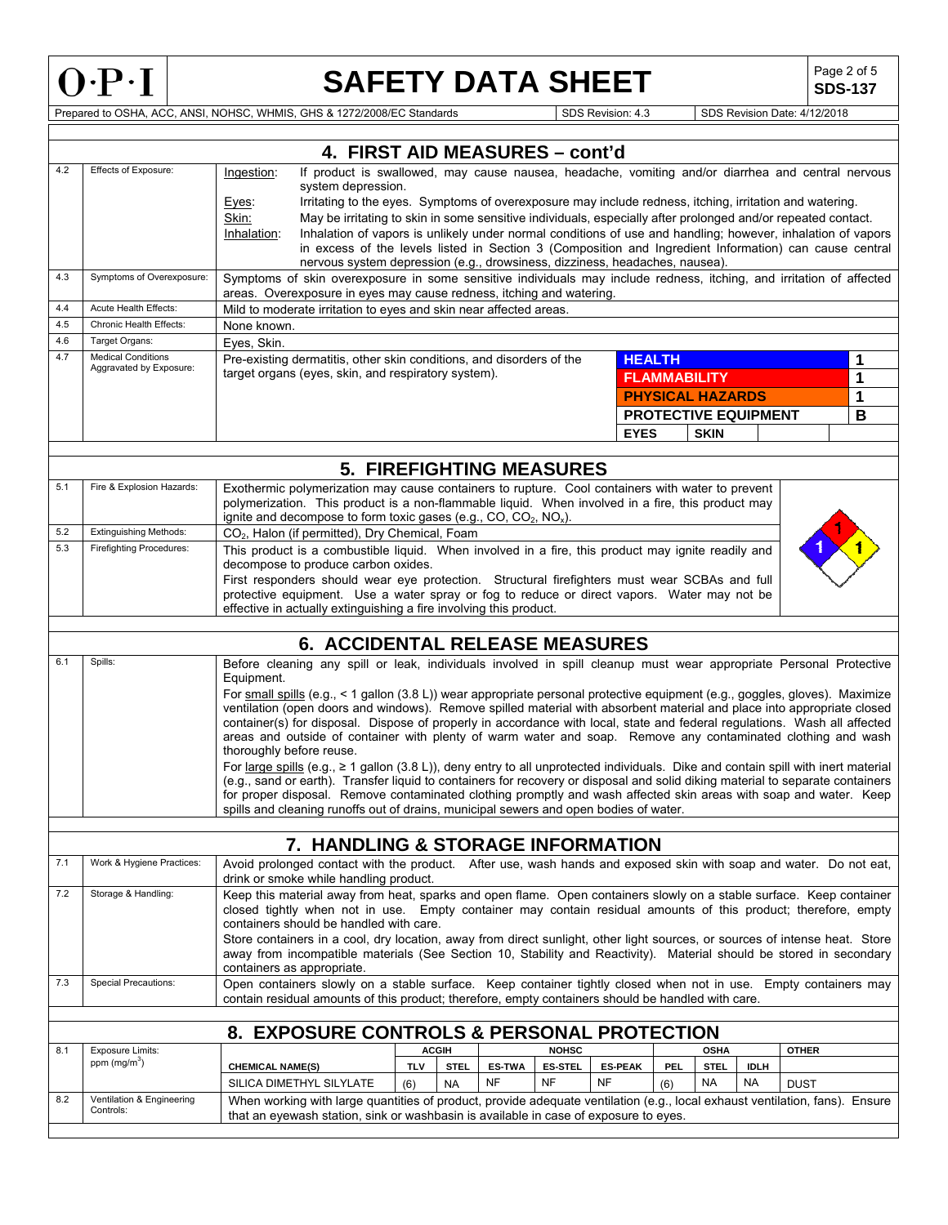

## **SAFETY DATA SHEET** SAFETY

**SDS-137**

Prepared to OSHA, ACC, ANSI, NOHSC, WHMIS, GHS & 1272/2008/EC Standards SDS Revision: 4.3 SDS Revision Date: 4/12/2018

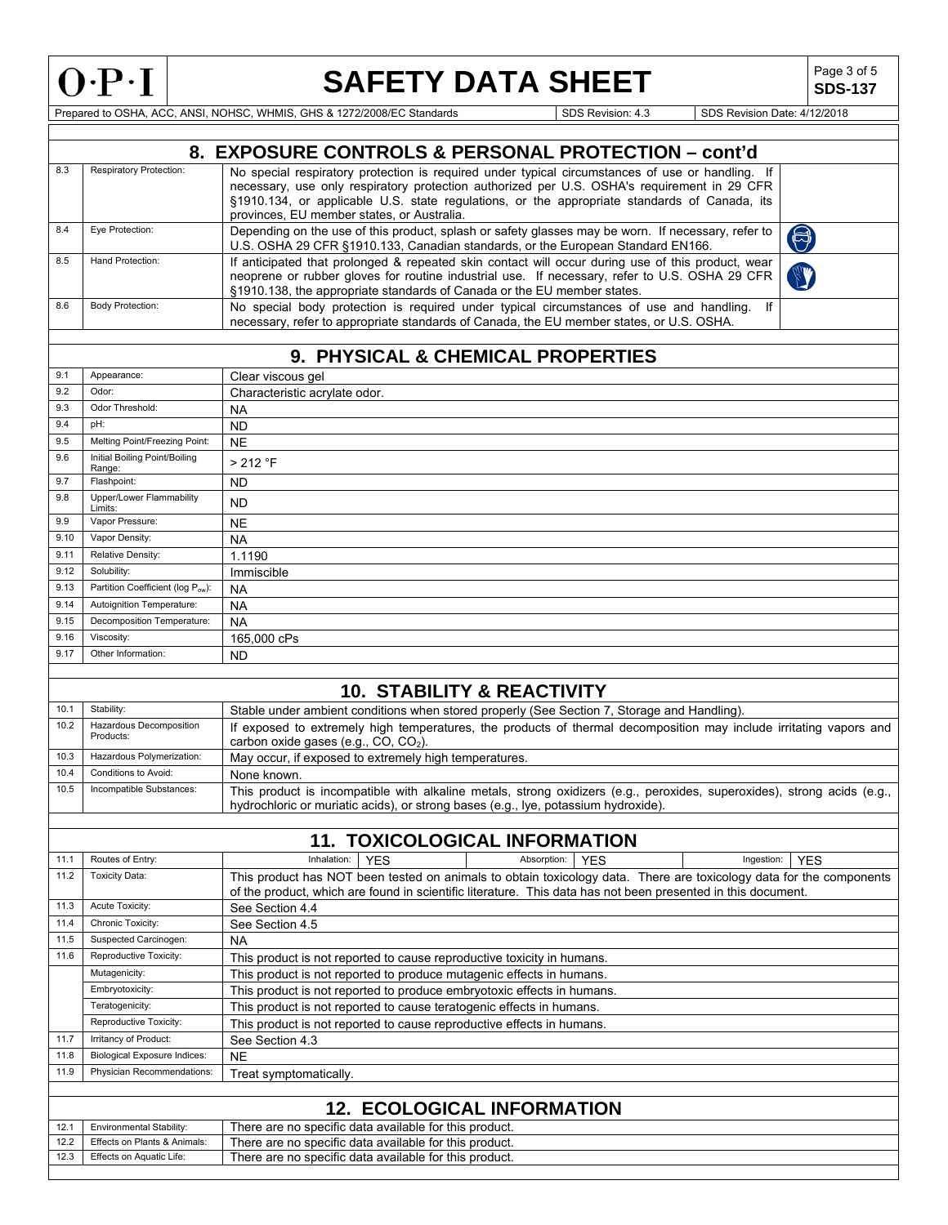

# **SAFETY DATA SHEET** SDS-137

**SDS-137**

Prepared to OSHA, ACC, ANSI, NOHSC, WHMIS, GHS & 1272/2008/EC Standards SDS Revision: 4.3 SDS Revision Date: 4/12/2018

|      |                                     | 8. EXPOSURE CONTROLS & PERSONAL PROTECTION - cont'd                                                                                                                                                                                 |  |  |  |  |
|------|-------------------------------------|-------------------------------------------------------------------------------------------------------------------------------------------------------------------------------------------------------------------------------------|--|--|--|--|
| 8.3  | Respiratory Protection:             |                                                                                                                                                                                                                                     |  |  |  |  |
|      |                                     | No special respiratory protection is required under typical circumstances of use or handling. If<br>necessary, use only respiratory protection authorized per U.S. OSHA's requirement in 29 CFR                                     |  |  |  |  |
|      |                                     | §1910.134, or applicable U.S. state regulations, or the appropriate standards of Canada, its                                                                                                                                        |  |  |  |  |
|      |                                     | provinces, EU member states, or Australia.                                                                                                                                                                                          |  |  |  |  |
| 8.4  | Eye Protection:                     | Depending on the use of this product, splash or safety glasses may be worn. If necessary, refer to                                                                                                                                  |  |  |  |  |
|      |                                     | $\bigcirc$<br>U.S. OSHA 29 CFR §1910.133, Canadian standards, or the European Standard EN166.                                                                                                                                       |  |  |  |  |
| 8.5  | Hand Protection:                    | If anticipated that prolonged & repeated skin contact will occur during use of this product, wear                                                                                                                                   |  |  |  |  |
|      |                                     | neoprene or rubber gloves for routine industrial use. If necessary, refer to U.S. OSHA 29 CFR                                                                                                                                       |  |  |  |  |
|      |                                     | §1910.138, the appropriate standards of Canada or the EU member states.                                                                                                                                                             |  |  |  |  |
| 8.6  | Body Protection:                    | No special body protection is required under typical circumstances of use and handling. If                                                                                                                                          |  |  |  |  |
|      |                                     | necessary, refer to appropriate standards of Canada, the EU member states, or U.S. OSHA.                                                                                                                                            |  |  |  |  |
|      |                                     |                                                                                                                                                                                                                                     |  |  |  |  |
|      |                                     | 9. PHYSICAL & CHEMICAL PROPERTIES                                                                                                                                                                                                   |  |  |  |  |
| 9.1  | Appearance:                         | Clear viscous gel                                                                                                                                                                                                                   |  |  |  |  |
| 9.2  | Odor:                               | Characteristic acrylate odor.                                                                                                                                                                                                       |  |  |  |  |
| 9.3  | Odor Threshold:                     | <b>NA</b>                                                                                                                                                                                                                           |  |  |  |  |
| 9.4  | pH:                                 | <b>ND</b>                                                                                                                                                                                                                           |  |  |  |  |
| 9.5  | Melting Point/Freezing Point:       | <b>NE</b>                                                                                                                                                                                                                           |  |  |  |  |
| 9.6  | Initial Boiling Point/Boiling       | > 212 °F                                                                                                                                                                                                                            |  |  |  |  |
|      | Range:                              |                                                                                                                                                                                                                                     |  |  |  |  |
| 9.7  | Flashpoint:                         | <b>ND</b>                                                                                                                                                                                                                           |  |  |  |  |
| 9.8  | Upper/Lower Flammability<br>Limits: | <b>ND</b>                                                                                                                                                                                                                           |  |  |  |  |
| 9.9  | Vapor Pressure:                     | <b>NE</b>                                                                                                                                                                                                                           |  |  |  |  |
| 9.10 | Vapor Density:                      | <b>NA</b>                                                                                                                                                                                                                           |  |  |  |  |
| 9.11 | Relative Density:                   | 1.1190                                                                                                                                                                                                                              |  |  |  |  |
| 9.12 | Solubility:                         | Immiscible                                                                                                                                                                                                                          |  |  |  |  |
| 9.13 | Partition Coefficient (log Pow):    | <b>NA</b>                                                                                                                                                                                                                           |  |  |  |  |
| 9.14 | Autoignition Temperature:           | <b>NA</b>                                                                                                                                                                                                                           |  |  |  |  |
| 9.15 | Decomposition Temperature:          | <b>NA</b>                                                                                                                                                                                                                           |  |  |  |  |
| 9.16 | Viscosity:                          | 165,000 cPs                                                                                                                                                                                                                         |  |  |  |  |
| 9.17 | Other Information:                  | <b>ND</b>                                                                                                                                                                                                                           |  |  |  |  |
|      |                                     |                                                                                                                                                                                                                                     |  |  |  |  |
|      |                                     | <b>10. STABILITY &amp; REACTIVITY</b>                                                                                                                                                                                               |  |  |  |  |
| 10.1 | Stability:                          |                                                                                                                                                                                                                                     |  |  |  |  |
| 10.2 | Hazardous Decomposition             | Stable under ambient conditions when stored properly (See Section 7, Storage and Handling).                                                                                                                                         |  |  |  |  |
|      | Products:                           | If exposed to extremely high temperatures, the products of thermal decomposition may include irritating vapors and<br>carbon oxide gases (e.g., CO, CO <sub>2</sub> ).                                                              |  |  |  |  |
| 10.3 | Hazardous Polymerization:           | May occur, if exposed to extremely high temperatures.                                                                                                                                                                               |  |  |  |  |
| 10.4 | Conditions to Avoid:                | None known.                                                                                                                                                                                                                         |  |  |  |  |
| 10.5 | Incompatible Substances:            | This product is incompatible with alkaline metals, strong oxidizers (e.g., peroxides, superoxides), strong acids (e.g.,                                                                                                             |  |  |  |  |
|      |                                     | hydrochloric or muriatic acids), or strong bases (e.g., lye, potassium hydroxide).                                                                                                                                                  |  |  |  |  |
|      |                                     |                                                                                                                                                                                                                                     |  |  |  |  |
|      |                                     | <b>11. TOXICOLOGICAL INFORMATION</b>                                                                                                                                                                                                |  |  |  |  |
|      |                                     |                                                                                                                                                                                                                                     |  |  |  |  |
| 11.1 | Routes of Entry:                    | Inhalation:<br>Absorption:<br>Ingestion:<br><b>YES</b><br><b>YES</b><br><b>YES</b>                                                                                                                                                  |  |  |  |  |
| 11.2 | <b>Toxicity Data:</b>               | This product has NOT been tested on animals to obtain toxicology data. There are toxicology data for the components<br>of the product, which are found in scientific literature. This data has not been presented in this document. |  |  |  |  |
| 11.3 | Acute Toxicity:                     |                                                                                                                                                                                                                                     |  |  |  |  |
| 11.4 | Chronic Toxicity:                   | See Section 4.4                                                                                                                                                                                                                     |  |  |  |  |
| 11.5 | Suspected Carcinogen:               | See Section 4.5                                                                                                                                                                                                                     |  |  |  |  |
|      |                                     | <b>NA</b>                                                                                                                                                                                                                           |  |  |  |  |
| 11.6 | Reproductive Toxicity:              | This product is not reported to cause reproductive toxicity in humans.                                                                                                                                                              |  |  |  |  |
|      | Mutagenicity:                       | This product is not reported to produce mutagenic effects in humans.                                                                                                                                                                |  |  |  |  |
|      | Embryotoxicity:                     | This product is not reported to produce embryotoxic effects in humans.                                                                                                                                                              |  |  |  |  |
|      | Teratogenicity:                     | This product is not reported to cause teratogenic effects in humans.                                                                                                                                                                |  |  |  |  |
|      | Reproductive Toxicity:              | This product is not reported to cause reproductive effects in humans.                                                                                                                                                               |  |  |  |  |
| 11.7 | Irritancy of Product:               | See Section 4.3                                                                                                                                                                                                                     |  |  |  |  |
| 11.8 | <b>Biological Exposure Indices:</b> | <b>NE</b>                                                                                                                                                                                                                           |  |  |  |  |
| 11.9 | Physician Recommendations:          | Treat symptomatically.                                                                                                                                                                                                              |  |  |  |  |
|      |                                     |                                                                                                                                                                                                                                     |  |  |  |  |
|      | <b>12. ECOLOGICAL INFORMATION</b>   |                                                                                                                                                                                                                                     |  |  |  |  |
| 12.1 | Environmental Stability:            | There are no specific data available for this product.                                                                                                                                                                              |  |  |  |  |
| 12.2 | Effects on Plants & Animals:        | There are no specific data available for this product.                                                                                                                                                                              |  |  |  |  |
| 12.3 | Effects on Aquatic Life:            | There are no specific data available for this product.                                                                                                                                                                              |  |  |  |  |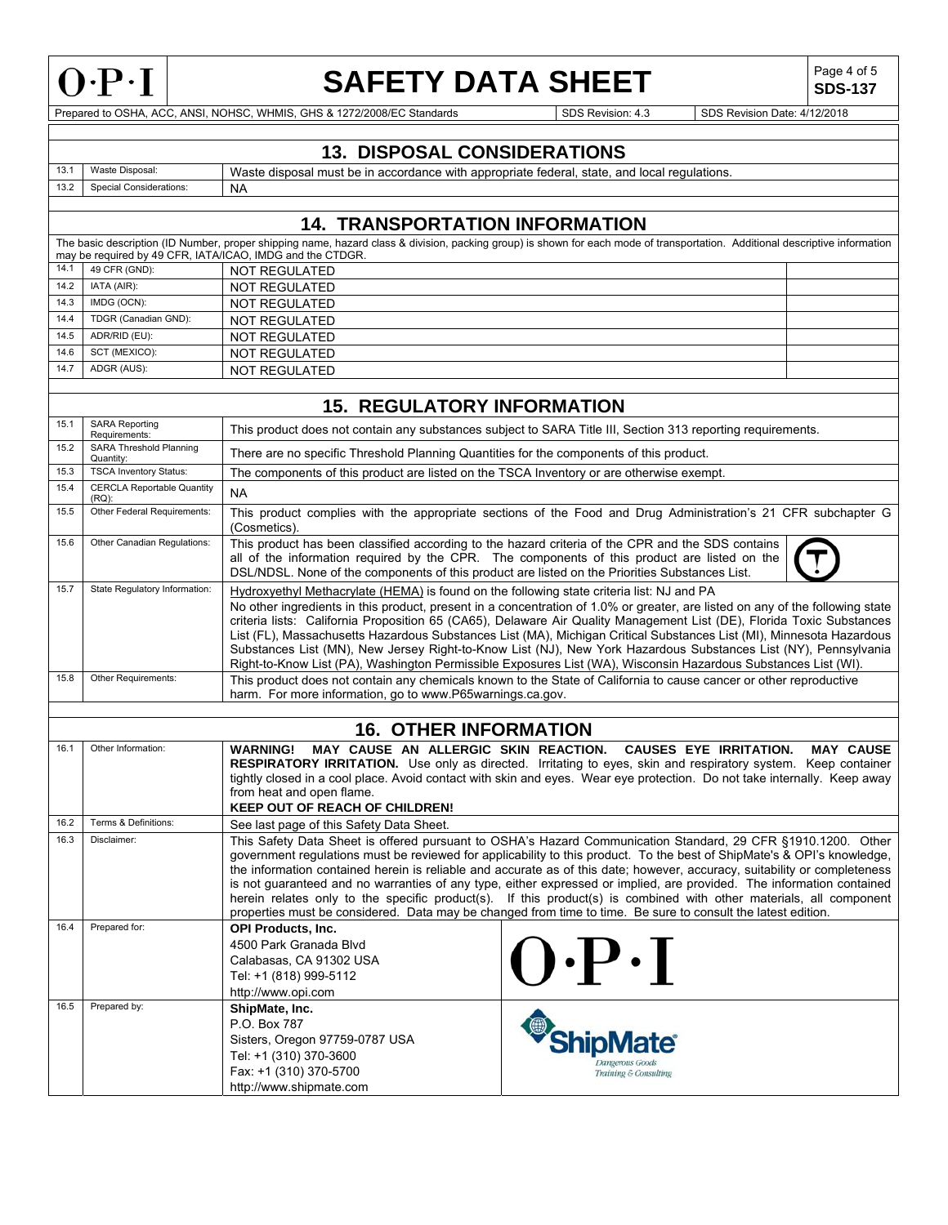

## **SAFETY DATA SHEET** SDS-137

**SDS-137**

Prepared to OSHA, ACC, ANSI, NOHSC, WHMIS, GHS & 1272/2008/EC Standards SDS Revision: 4.3 SDS Revision Date: 4/12/2018

Dangerous Goods Training  $\&$  Consulting

### **13. DISPOSAL CONSIDERATIONS**

13.1 Waste Disposal: Waste disposal must be in accordance with appropriate federal, state, and local regulations.<br>13.2 Special Considerations: NA Special Considerations: NA

### **14. TRANSPORTATION INFORMATION**

|      | The basic description (ID Number, proper shipping name, hazard class & division, packing group) is shown for each mode of transportation. Additional descriptive information |                                                           |  |  |  |
|------|------------------------------------------------------------------------------------------------------------------------------------------------------------------------------|-----------------------------------------------------------|--|--|--|
|      |                                                                                                                                                                              | may be required by 49 CFR, IATA/ICAO, IMDG and the CTDGR. |  |  |  |
|      | 14.1 49 CFR (GND):                                                                                                                                                           | NOT REGULATED                                             |  |  |  |
| 14.2 | IATA (AIR):                                                                                                                                                                  | NOT REGULATED                                             |  |  |  |
| 14.3 | IMDG (OCN):                                                                                                                                                                  | NOT REGULATED                                             |  |  |  |
| 14.4 | TDGR (Canadian GND):                                                                                                                                                         | NOT REGULATED                                             |  |  |  |
| 14.5 | ADR/RID (EU):                                                                                                                                                                | NOT REGULATED                                             |  |  |  |
| 14.6 | SCT (MEXICO):                                                                                                                                                                | NOT REGULATED                                             |  |  |  |
| 14.7 | ADGR (AUS):                                                                                                                                                                  | NOT REGULATED                                             |  |  |  |
|      |                                                                                                                                                                              |                                                           |  |  |  |

### **15. REGULATORY INFORMATION**

| 15.1 | <b>SARA Reporting</b><br>Requirements:        | This product does not contain any substances subject to SARA Title III, Section 313 reporting requirements.                                                                                                                                                                                                                                                                                                                                                                                                                                                                                                                                                                                                                         |  |  |
|------|-----------------------------------------------|-------------------------------------------------------------------------------------------------------------------------------------------------------------------------------------------------------------------------------------------------------------------------------------------------------------------------------------------------------------------------------------------------------------------------------------------------------------------------------------------------------------------------------------------------------------------------------------------------------------------------------------------------------------------------------------------------------------------------------------|--|--|
| 15.2 | <b>SARA Threshold Planning</b><br>Quantity:   | There are no specific Threshold Planning Quantities for the components of this product.                                                                                                                                                                                                                                                                                                                                                                                                                                                                                                                                                                                                                                             |  |  |
| 15.3 | <b>TSCA Inventory Status:</b>                 | The components of this product are listed on the TSCA Inventory or are otherwise exempt.                                                                                                                                                                                                                                                                                                                                                                                                                                                                                                                                                                                                                                            |  |  |
| 15.4 | <b>CERCLA Reportable Quantity</b><br>$(RQ)$ : | <b>NA</b>                                                                                                                                                                                                                                                                                                                                                                                                                                                                                                                                                                                                                                                                                                                           |  |  |
| 15.5 | Other Federal Requirements:                   | This product complies with the appropriate sections of the Food and Drug Administration's 21 CFR subchapter G<br>(Cosmetics).                                                                                                                                                                                                                                                                                                                                                                                                                                                                                                                                                                                                       |  |  |
| 15.6 | Other Canadian Regulations:                   | This product has been classified according to the hazard criteria of the CPR and the SDS contains<br>all of the information required by the CPR. The components of this product are listed on the<br>DSL/NDSL. None of the components of this product are listed on the Priorities Substances List.                                                                                                                                                                                                                                                                                                                                                                                                                                 |  |  |
| 15.7 | State Regulatory Information:                 | Hydroxyethyl Methacrylate (HEMA) is found on the following state criteria list: NJ and PA<br>No other ingredients in this product, present in a concentration of 1.0% or greater, are listed on any of the following state<br>criteria lists: California Proposition 65 (CA65), Delaware Air Quality Management List (DE), Florida Toxic Substances<br>List (FL), Massachusetts Hazardous Substances List (MA), Michigan Critical Substances List (MI), Minnesota Hazardous<br>Substances List (MN), New Jersey Right-to-Know List (NJ), New York Hazardous Substances List (NY), Pennsylvania<br>Right-to-Know List (PA), Washington Permissible Exposures List (WA), Wisconsin Hazardous Substances List (WI).                    |  |  |
| 15.8 | Other Requirements:                           | This product does not contain any chemicals known to the State of California to cause cancer or other reproductive<br>harm. For more information, go to www.P65warnings.ca.gov.                                                                                                                                                                                                                                                                                                                                                                                                                                                                                                                                                     |  |  |
|      |                                               |                                                                                                                                                                                                                                                                                                                                                                                                                                                                                                                                                                                                                                                                                                                                     |  |  |
|      |                                               | <b>16. OTHER INFORMATION</b>                                                                                                                                                                                                                                                                                                                                                                                                                                                                                                                                                                                                                                                                                                        |  |  |
| 16.1 | Other Information:                            | MAY CAUSE AN ALLERGIC SKIN REACTION.<br><b>MAY CAUSE</b><br><b>WARNING!</b><br><b>CAUSES EYE IRRITATION.</b><br>RESPIRATORY IRRITATION. Use only as directed. Irritating to eyes, skin and respiratory system. Keep container<br>tightly closed in a cool place. Avoid contact with skin and eyes. Wear eye protection. Do not take internally. Keep away<br>from heat and open flame.<br><b>KEEP OUT OF REACH OF CHILDREN!</b>                                                                                                                                                                                                                                                                                                     |  |  |
| 16.2 | Terms & Definitions:                          | See last page of this Safety Data Sheet.                                                                                                                                                                                                                                                                                                                                                                                                                                                                                                                                                                                                                                                                                            |  |  |
| 16.3 | Disclaimer:                                   | This Safety Data Sheet is offered pursuant to OSHA's Hazard Communication Standard, 29 CFR §1910.1200. Other<br>government requlations must be reviewed for applicability to this product. To the best of ShipMate's & OPI's knowledge,<br>the information contained herein is reliable and accurate as of this date; however, accuracy, suitability or completeness<br>is not guaranteed and no warranties of any type, either expressed or implied, are provided. The information contained<br>herein relates only to the specific product(s). If this product(s) is combined with other materials, all component<br>properties must be considered. Data may be changed from time to time. Be sure to consult the latest edition. |  |  |
| 16.4 | Prepared for:                                 | <b>OPI Products, Inc.</b><br>4500 Park Granada Blyd<br>$\cdot$ P $\cdot$ I<br>Calabasas, CA 91302 USA<br>Tel: +1 (818) 999-5112<br>http://www.opi.com                                                                                                                                                                                                                                                                                                                                                                                                                                                                                                                                                                               |  |  |
| 16.5 | Prepared by:                                  | ShipMate, Inc.<br>ShipMate®<br>P.O. Box 787<br>Sisters, Oregon 97759-0787 USA<br>$T_0$ $L_1$ $T_2$ $T_3$ $T_1$ $T_2$ $T_2$ $T_3$ $T_4$                                                                                                                                                                                                                                                                                                                                                                                                                                                                                                                                                                                              |  |  |

Tel: +1 (310) 370-3600 Fax: +1 (310) 370-5700 http://www.shipmate.com